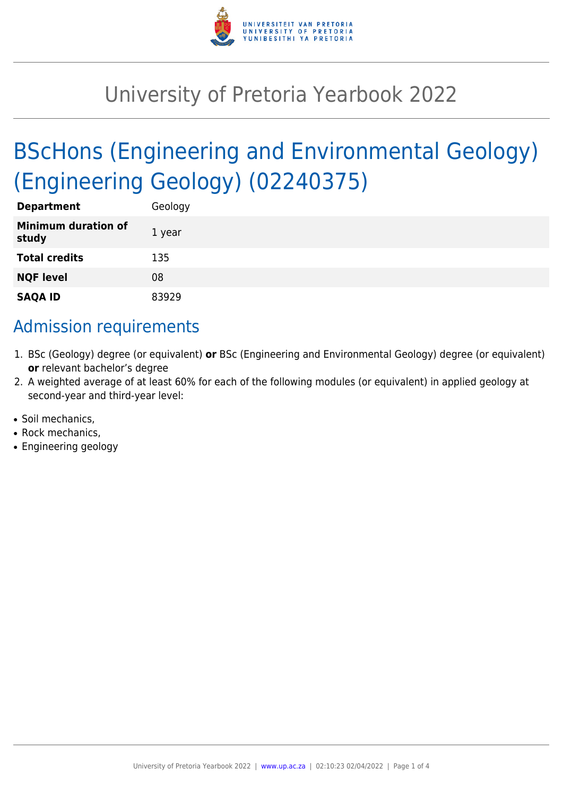

# University of Pretoria Yearbook 2022

# BScHons (Engineering and Environmental Geology) (Engineering Geology) (02240375)

| <b>Department</b>                   | Geology |
|-------------------------------------|---------|
| <b>Minimum duration of</b><br>study | 1 year  |
| <b>Total credits</b>                | 135     |
| <b>NQF level</b>                    | 08      |
| <b>SAQA ID</b>                      | 83929   |

# Admission requirements

- 1. BSc (Geology) degree (or equivalent) **or** BSc (Engineering and Environmental Geology) degree (or equivalent) **or** relevant bachelor's degree
- 2. A weighted average of at least 60% for each of the following modules (or equivalent) in applied geology at second-year and third-year level:
- Soil mechanics.
- Rock mechanics.
- Engineering geology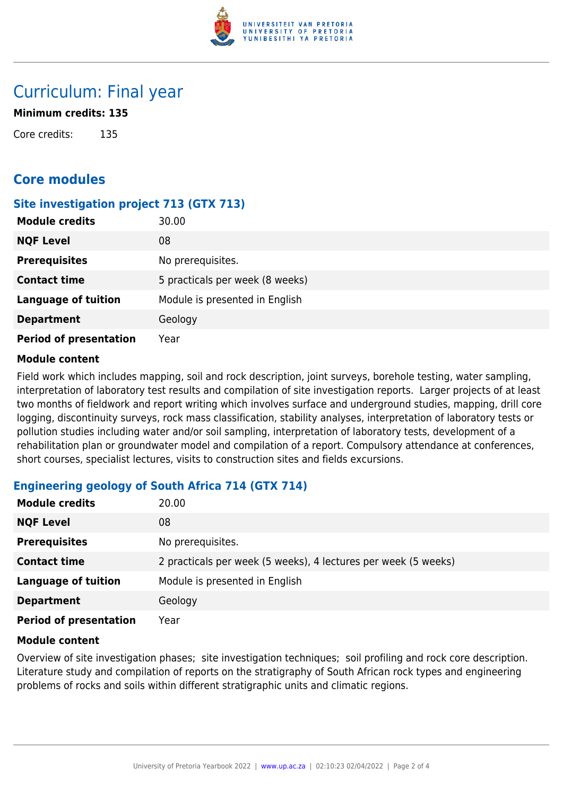

# Curriculum: Final year

### **Minimum credits: 135**

Core credits: 135

# **Core modules**

# **Site investigation project 713 (GTX 713)**

| <b>Module credits</b>         | 30.00                           |
|-------------------------------|---------------------------------|
| <b>NQF Level</b>              | 08                              |
| <b>Prerequisites</b>          | No prerequisites.               |
| <b>Contact time</b>           | 5 practicals per week (8 weeks) |
| <b>Language of tuition</b>    | Module is presented in English  |
| <b>Department</b>             | Geology                         |
| <b>Period of presentation</b> | Year                            |

#### **Module content**

Field work which includes mapping, soil and rock description, joint surveys, borehole testing, water sampling, interpretation of laboratory test results and compilation of site investigation reports. Larger projects of at least two months of fieldwork and report writing which involves surface and underground studies, mapping, drill core logging, discontinuity surveys, rock mass classification, stability analyses, interpretation of laboratory tests or pollution studies including water and/or soil sampling, interpretation of laboratory tests, development of a rehabilitation plan or groundwater model and compilation of a report. Compulsory attendance at conferences, short courses, specialist lectures, visits to construction sites and fields excursions.

# **Engineering geology of South Africa 714 (GTX 714)**

| <b>Module credits</b>         | 20.00                                                          |
|-------------------------------|----------------------------------------------------------------|
| <b>NQF Level</b>              | 08                                                             |
| <b>Prerequisites</b>          | No prerequisites.                                              |
| <b>Contact time</b>           | 2 practicals per week (5 weeks), 4 lectures per week (5 weeks) |
| <b>Language of tuition</b>    | Module is presented in English                                 |
| <b>Department</b>             | Geology                                                        |
| <b>Period of presentation</b> | Year                                                           |

#### **Module content**

Overview of site investigation phases; site investigation techniques; soil profiling and rock core description. Literature study and compilation of reports on the stratigraphy of South African rock types and engineering problems of rocks and soils within different stratigraphic units and climatic regions.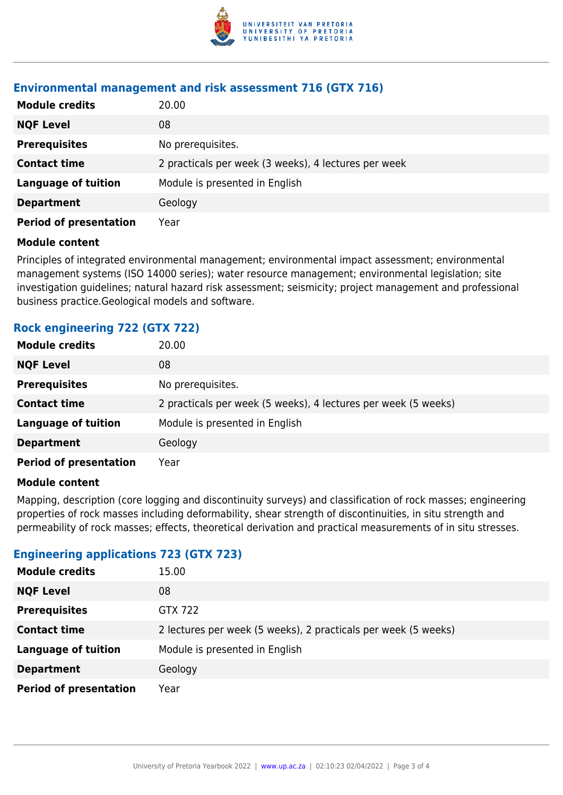

### **Environmental management and risk assessment 716 (GTX 716)**

| <b>Module credits</b>         | 20.00                                                |
|-------------------------------|------------------------------------------------------|
| <b>NQF Level</b>              | 08                                                   |
| <b>Prerequisites</b>          | No prerequisites.                                    |
| <b>Contact time</b>           | 2 practicals per week (3 weeks), 4 lectures per week |
| <b>Language of tuition</b>    | Module is presented in English                       |
| <b>Department</b>             | Geology                                              |
| <b>Period of presentation</b> | Year                                                 |

#### **Module content**

Principles of integrated environmental management; environmental impact assessment; environmental management systems (ISO 14000 series); water resource management; environmental legislation; site investigation guidelines; natural hazard risk assessment; seismicity; project management and professional business practice.Geological models and software.

# **Rock engineering 722 (GTX 722)**

| <b>Module credits</b>         | 20.00                                                          |
|-------------------------------|----------------------------------------------------------------|
| <b>NQF Level</b>              | 08                                                             |
| <b>Prerequisites</b>          | No prerequisites.                                              |
| <b>Contact time</b>           | 2 practicals per week (5 weeks), 4 lectures per week (5 weeks) |
| <b>Language of tuition</b>    | Module is presented in English                                 |
| <b>Department</b>             | Geology                                                        |
| <b>Period of presentation</b> | Year                                                           |

#### **Module content**

Mapping, description (core logging and discontinuity surveys) and classification of rock masses; engineering properties of rock masses including deformability, shear strength of discontinuities, in situ strength and permeability of rock masses; effects, theoretical derivation and practical measurements of in situ stresses.

# **Engineering applications 723 (GTX 723)**

| <b>Module credits</b>         | 15.00                                                          |
|-------------------------------|----------------------------------------------------------------|
| <b>NQF Level</b>              | 08                                                             |
| <b>Prerequisites</b>          | GTX 722                                                        |
| <b>Contact time</b>           | 2 lectures per week (5 weeks), 2 practicals per week (5 weeks) |
| <b>Language of tuition</b>    | Module is presented in English                                 |
| <b>Department</b>             | Geology                                                        |
| <b>Period of presentation</b> | Year                                                           |